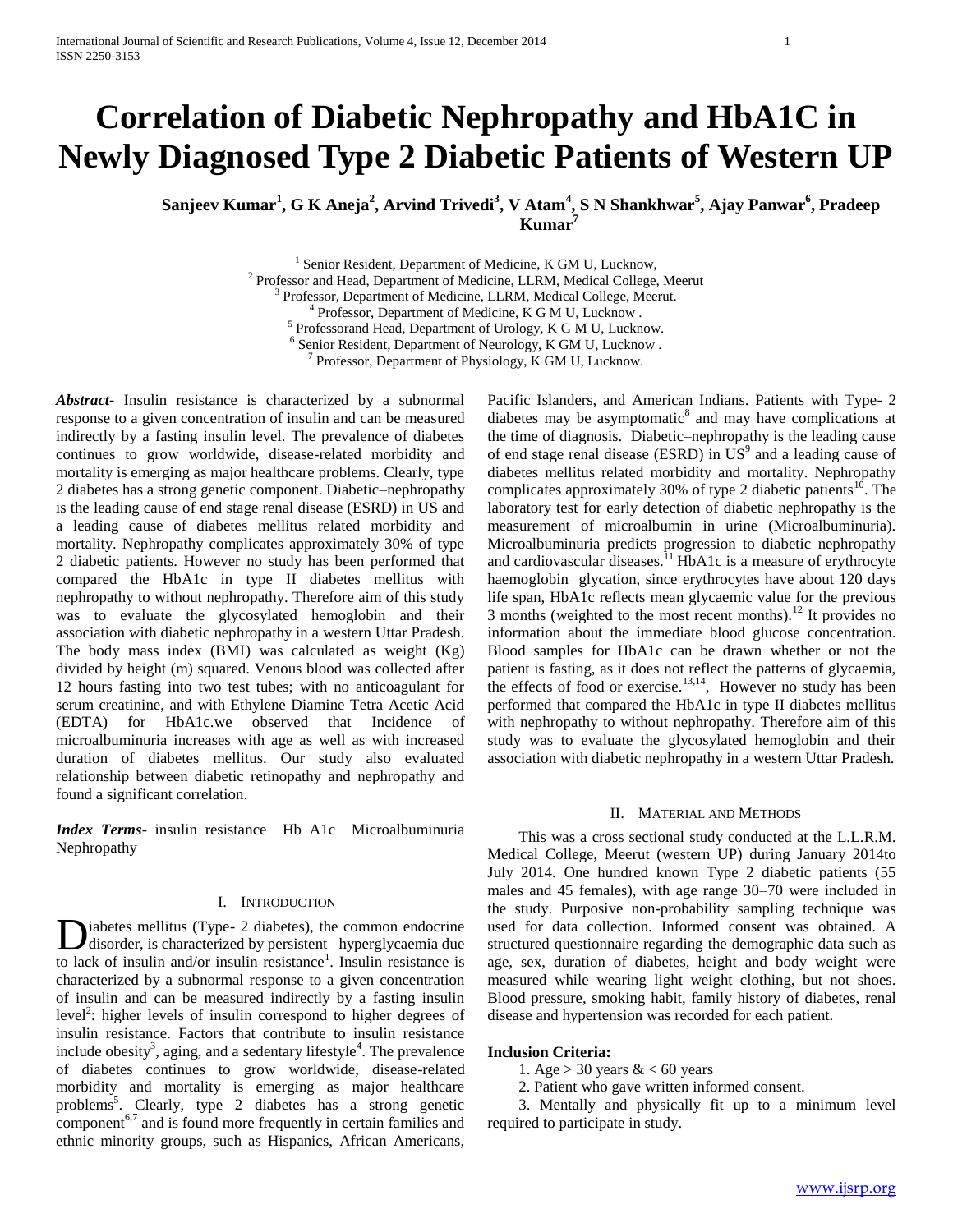# **Correlation of Diabetic Nephropathy and HbA1C in Newly Diagnosed Type 2 Diabetic Patients of Western UP**

**Sanjeev Kumar<sup>1</sup> , G K Aneja<sup>2</sup> , Arvind Trivedi<sup>3</sup> , V Atam<sup>4</sup> , S N Shankhwar<sup>5</sup> , Ajay Panwar<sup>6</sup> , Pradeep Kumar<sup>7</sup>**

> <sup>1</sup> Senior Resident, Department of Medicine, K GM U, Lucknow, <sup>2</sup> Professor and Head, Department of Medicine, LLRM, Medical College, Meerut Professor, Department of Medicine, LLRM, Medical College, Meerut. 4 Professor, Department of Medicine, K G M U, Lucknow . <sup>5</sup> Professorand Head, Department of Urology, K G M U, Lucknow. <sup>6</sup> Senior Resident, Department of Neurology, K GM U, Lucknow.

<sup>7</sup> Professor, Department of Physiology, K GM U, Lucknow.

*Abstract***-** Insulin resistance is characterized by a subnormal response to a given concentration of insulin and can be measured indirectly by a fasting insulin level. The prevalence of diabetes continues to grow worldwide, disease-related morbidity and mortality is emerging as major healthcare problems. Clearly, type 2 diabetes has a strong genetic component. Diabetic–nephropathy is the leading cause of end stage renal disease (ESRD) in US and a leading cause of diabetes mellitus related morbidity and mortality. Nephropathy complicates approximately 30% of type 2 diabetic patients. However no study has been performed that compared the HbA1c in type II diabetes mellitus with nephropathy to without nephropathy. Therefore aim of this study was to evaluate the glycosylated hemoglobin and their association with diabetic nephropathy in a western Uttar Pradesh. The body mass index (BMI) was calculated as weight (Kg) divided by height (m) squared. Venous blood was collected after 12 hours fasting into two test tubes; with no anticoagulant for serum creatinine, and with Ethylene Diamine Tetra Acetic Acid (EDTA) for HbA1c.we observed that Incidence of microalbuminuria increases with age as well as with increased duration of diabetes mellitus. Our study also evaluated relationship between diabetic retinopathy and nephropathy and found a significant correlation.

*Index Terms*- insulin resistance Hb A1c Microalbuminuria Nephropathy

# I. INTRODUCTION

iabetes mellitus (Type- 2 diabetes), the common endocrine disorder, is characterized by persistent hyperglycaemia due **D**iabetes mellitus (Type- 2 diabetes), the common endocrine disorder, is characterized by persistent hyperglycaemia due to lack of insulin and/or insulin resistance<sup>1</sup>. Insulin resistance is characterized by a subnormal response to a given concentration of insulin and can be measured indirectly by a fasting insulin level<sup>2</sup>: higher levels of insulin correspond to higher degrees of insulin resistance. Factors that contribute to insulin resistance include obesity<sup>3</sup>, aging, and a sedentary lifestyle<sup>4</sup>. The prevalence of diabetes continues to grow worldwide, disease-related morbidity and mortality is emerging as major healthcare problems<sup>5</sup>. Clearly, type 2 diabetes has a strong genetic  $component<sup>6,7</sup>$  and is found more frequently in certain families and ethnic minority groups, such as Hispanics, African Americans,

Pacific Islanders, and American Indians. Patients with Type- 2 diabetes may be asymptomatic $\delta$  and may have complications at the time of diagnosis. Diabetic–nephropathy is the leading cause of end stage renal disease (ESRD) in  $\overline{US}^9$  and a leading cause of diabetes mellitus related morbidity and mortality. Nephropathy complicates approximately 30% of type 2 diabetic patients<sup>10</sup>. The laboratory test for early detection of diabetic nephropathy is the measurement of microalbumin in urine (Microalbuminuria). Microalbuminuria predicts progression to diabetic nephropathy and cardiovascular diseases.<sup>11</sup>HbA1c is a measure of erythrocyte haemoglobin glycation, since erythrocytes have about 120 days life span, HbA1c reflects mean glycaemic value for the previous 3 months (weighted to the most recent months).<sup>12</sup> It provides no information about the immediate blood glucose concentration. Blood samples for HbA1c can be drawn whether or not the patient is fasting, as it does not reflect the patterns of glycaemia, the effects of food or exercise.<sup>13,14</sup>, However no study has been performed that compared the HbA1c in type II diabetes mellitus with nephropathy to without nephropathy. Therefore aim of this study was to evaluate the glycosylated hemoglobin and their association with diabetic nephropathy in a western Uttar Pradesh.

## II. MATERIAL AND METHODS

 This was a cross sectional study conducted at the L.L.R.M. Medical College, Meerut (western UP) during January 2014to July 2014. One hundred known Type 2 diabetic patients (55 males and 45 females), with age range 30–70 were included in the study. Purposive non-probability sampling technique was used for data collection. Informed consent was obtained. A structured questionnaire regarding the demographic data such as age, sex, duration of diabetes, height and body weight were measured while wearing light weight clothing, but not shoes. Blood pressure, smoking habit, family history of diabetes, renal disease and hypertension was recorded for each patient.

#### **Inclusion Criteria:**

1. Age  $> 30$  years  $< 60$  years

2. Patient who gave written informed consent.

 3. Mentally and physically fit up to a minimum level required to participate in study.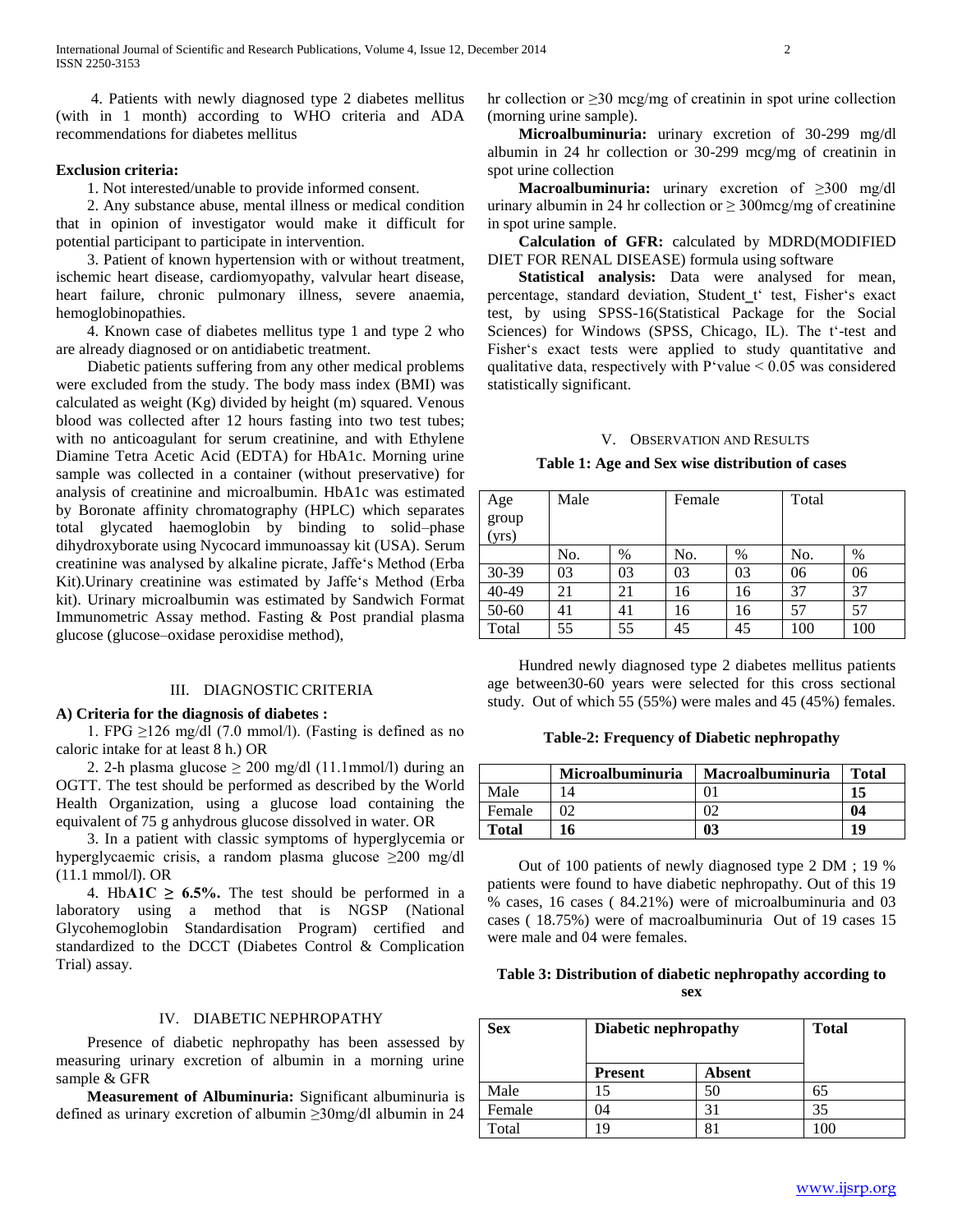4. Patients with newly diagnosed type 2 diabetes mellitus (with in 1 month) according to WHO criteria and ADA recommendations for diabetes mellitus

# **Exclusion criteria:**

1. Not interested/unable to provide informed consent.

 2. Any substance abuse, mental illness or medical condition that in opinion of investigator would make it difficult for potential participant to participate in intervention.

 3. Patient of known hypertension with or without treatment, ischemic heart disease, cardiomyopathy, valvular heart disease, heart failure, chronic pulmonary illness, severe anaemia, hemoglobinopathies.

 4. Known case of diabetes mellitus type 1 and type 2 who are already diagnosed or on antidiabetic treatment.

 Diabetic patients suffering from any other medical problems were excluded from the study. The body mass index (BMI) was calculated as weight (Kg) divided by height (m) squared. Venous blood was collected after 12 hours fasting into two test tubes; with no anticoagulant for serum creatinine, and with Ethylene Diamine Tetra Acetic Acid (EDTA) for HbA1c. Morning urine sample was collected in a container (without preservative) for analysis of creatinine and microalbumin. HbA1c was estimated by Boronate affinity chromatography (HPLC) which separates total glycated haemoglobin by binding to solid–phase dihydroxyborate using Nycocard immunoassay kit (USA). Serum creatinine was analysed by alkaline picrate, Jaffe's Method (Erba Kit).Urinary creatinine was estimated by Jaffe's Method (Erba kit). Urinary microalbumin was estimated by Sandwich Format Immunometric Assay method. Fasting & Post prandial plasma glucose (glucose–oxidase peroxidise method),

# III. DIAGNOSTIC CRITERIA

#### **A) Criteria for the diagnosis of diabetes :**

1. FPG  $\geq$ 126 mg/dl (7.0 mmol/l). (Fasting is defined as no caloric intake for at least 8 h.) OR

2. 2-h plasma glucose  $\geq 200$  mg/dl (11.1mmol/l) during an OGTT. The test should be performed as described by the World Health Organization, using a glucose load containing the equivalent of 75 g anhydrous glucose dissolved in water. OR

 3. In a patient with classic symptoms of hyperglycemia or hyperglycaemic crisis, a random plasma glucose ≥200 mg/dl (11.1 mmol/l). OR

4. HbA1C  $\geq$  6.5%. The test should be performed in a laboratory using a method that is NGSP (National Glycohemoglobin Standardisation Program) certified and standardized to the DCCT (Diabetes Control & Complication Trial) assay.

# IV. DIABETIC NEPHROPATHY

 Presence of diabetic nephropathy has been assessed by measuring urinary excretion of albumin in a morning urine sample & GFR

 **Measurement of Albuminuria:** Significant albuminuria is defined as urinary excretion of albumin ≥30mg/dl albumin in 24 hr collection or ≥30 mcg/mg of creatinin in spot urine collection (morning urine sample).

 **Microalbuminuria:** urinary excretion of 30-299 mg/dl albumin in 24 hr collection or 30-299 mcg/mg of creatinin in spot urine collection

 **Macroalbuminuria:** urinary excretion of ≥300 mg/dl urinary albumin in 24 hr collection or  $\geq$  300mcg/mg of creatinine in spot urine sample.

 **Calculation of GFR:** calculated by MDRD(MODIFIED DIET FOR RENAL DISEASE) formula using software

 **Statistical analysis:** Data were analysed for mean, percentage, standard deviation, Student\_t' test, Fisher's exact test, by using SPSS-16(Statistical Package for the Social Sciences) for Windows (SPSS, Chicago, IL). The t'-test and Fisher's exact tests were applied to study quantitative and qualitative data, respectively with  $P'$ value  $< 0.05$  was considered statistically significant.

#### V. OBSERVATION AND RESULTS

## **Table 1: Age and Sex wise distribution of cases**

| Age            | Male |    | Female |    | Total |     |
|----------------|------|----|--------|----|-------|-----|
| $\text{group}$ |      |    |        |    |       |     |
| (yrs)          |      |    |        |    |       |     |
|                | No.  | %  | No.    | %  | No.   | %   |
| $30-39$        | 03   | 03 | 03     | 03 | 06    | 06  |
| 40-49          | 21   | 21 | 16     | 16 | 37    | 37  |
| 50-60          | 41   | 41 | 16     | 16 | 57    | 57  |
| Total          | 55   | 55 | 45     | 45 | 100   | 100 |

 Hundred newly diagnosed type 2 diabetes mellitus patients age between30-60 years were selected for this cross sectional study. Out of which 55 (55%) were males and 45 (45%) females.

### **Table-2: Frequency of Diabetic nephropathy**

|        | <b>Microalbuminuria</b> | Macroalbuminuria | <b>Total</b> |
|--------|-------------------------|------------------|--------------|
| Male   |                         |                  |              |
| Female |                         |                  | 04           |
| Total  | 16                      | 03               |              |

 Out of 100 patients of newly diagnosed type 2 DM ; 19 % patients were found to have diabetic nephropathy. Out of this 19 % cases, 16 cases ( 84.21%) were of microalbuminuria and 03 cases ( 18.75%) were of macroalbuminuria Out of 19 cases 15 were male and 04 were females.

# **Table 3: Distribution of diabetic nephropathy according to sex**

| <b>Sex</b> | <b>Diabetic nephropathy</b> |        | <b>Total</b> |  |
|------------|-----------------------------|--------|--------------|--|
|            | <b>Present</b>              | Absent |              |  |
| Male       |                             | 50     | 65           |  |
| Female     | )4                          |        | 35           |  |
| Total      | ۱9                          |        | 100          |  |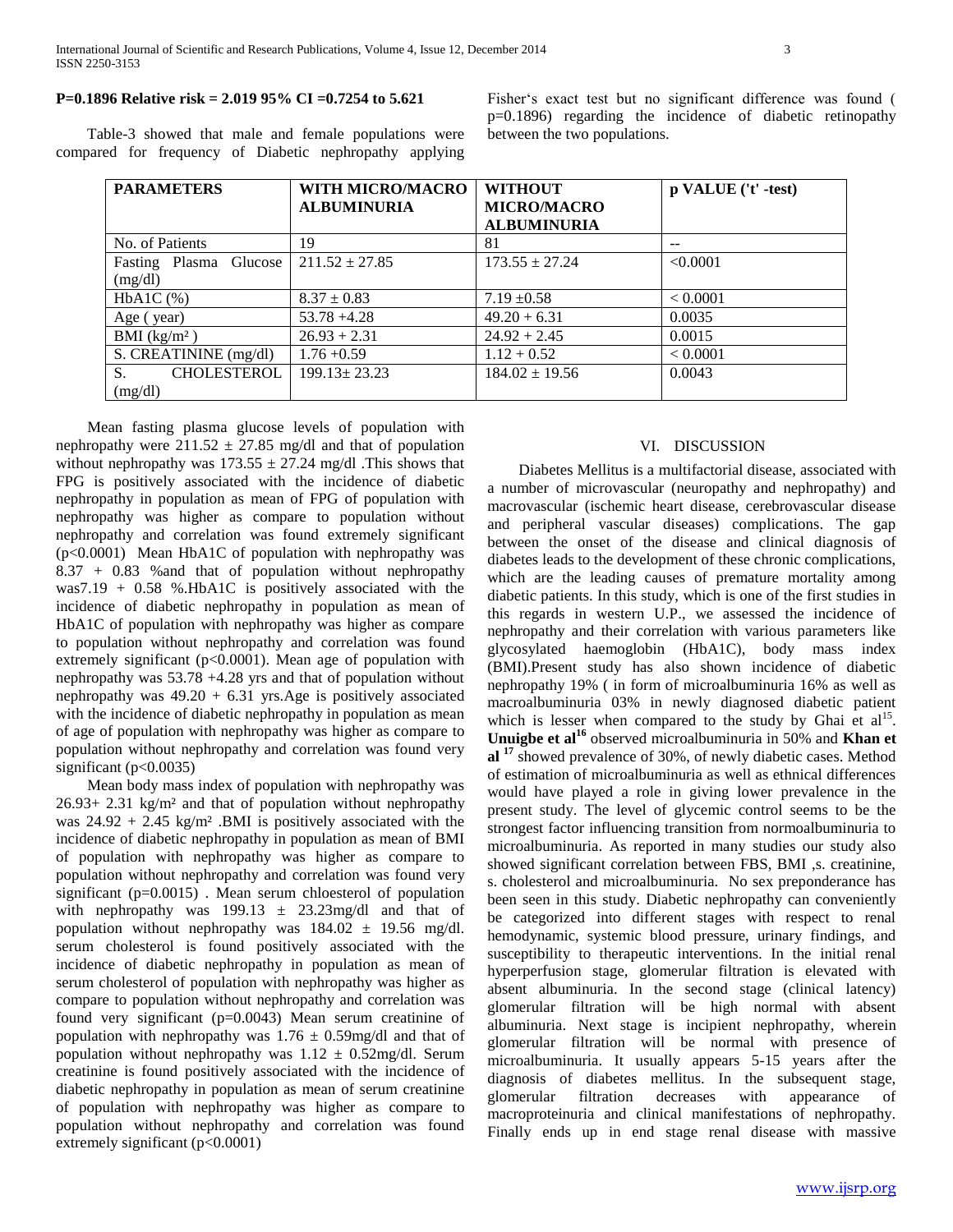# **P=0.1896 Relative risk = 2.019 95% CI =0.7254 to 5.621**

 Table-3 showed that male and female populations were compared for frequency of Diabetic nephropathy applying Fisher's exact test but no significant difference was found ( p=0.1896) regarding the incidence of diabetic retinopathy between the two populations.

| <b>PARAMETERS</b>                   | <b>WITH MICRO/MACRO</b><br><b>ALBUMINURIA</b> | <b>WITHOUT</b><br><b>MICRO/MACRO</b><br><b>ALBUMINURIA</b> | p VALUE ('t' -test) |
|-------------------------------------|-----------------------------------------------|------------------------------------------------------------|---------------------|
| No. of Patients                     | 19                                            | 81                                                         |                     |
| Fasting Plasma Glucose<br>(mg/dl)   | $211.52 \pm 27.85$                            | $173.55 \pm 27.24$                                         | < 0.0001            |
| $HbA1C$ $(\% )$                     | $8.37 \pm 0.83$                               | $7.19 \pm 0.58$                                            | < 0.0001            |
| Age (year)                          | $53.78 + 4.28$                                | $49.20 + 6.31$                                             | 0.0035              |
| BMI $(kg/m2)$                       | $26.93 + 2.31$                                | $24.92 + 2.45$                                             | 0.0015              |
| S. CREATININE (mg/dl)               | $1.76 + 0.59$                                 | $1.12 + 0.52$                                              | < 0.0001            |
| <b>CHOLESTEROL</b><br>S.<br>(mg/dl) | $199.13 \pm 23.23$                            | $184.02 \pm 19.56$                                         | 0.0043              |

 Mean fasting plasma glucose levels of population with nephropathy were  $211.52 \pm 27.85$  mg/dl and that of population without nephropathy was  $173.55 \pm 27.24$  mg/dl. This shows that FPG is positively associated with the incidence of diabetic nephropathy in population as mean of FPG of population with nephropathy was higher as compare to population without nephropathy and correlation was found extremely significant (p<0.0001) Mean HbA1C of population with nephropathy was 8.37 + 0.83 %and that of population without nephropathy was7.19 + 0.58 %.HbA1C is positively associated with the incidence of diabetic nephropathy in population as mean of HbA1C of population with nephropathy was higher as compare to population without nephropathy and correlation was found extremely significant (p<0.0001). Mean age of population with nephropathy was 53.78 +4.28 yrs and that of population without nephropathy was  $49.20 + 6.31$  yrs. Age is positively associated with the incidence of diabetic nephropathy in population as mean of age of population with nephropathy was higher as compare to population without nephropathy and correlation was found very significant ( $p<0.0035$ )

 Mean body mass index of population with nephropathy was 26.93+ 2.31 kg/m² and that of population without nephropathy was  $24.92 + 2.45$  kg/m<sup>2</sup> .BMI is positively associated with the incidence of diabetic nephropathy in population as mean of BMI of population with nephropathy was higher as compare to population without nephropathy and correlation was found very significant (p=0.0015) . Mean serum chloesterol of population with nephropathy was  $199.13 \pm 23.23$  mg/dl and that of population without nephropathy was  $184.02 \pm 19.56$  mg/dl. serum cholesterol is found positively associated with the incidence of diabetic nephropathy in population as mean of serum cholesterol of population with nephropathy was higher as compare to population without nephropathy and correlation was found very significant (p=0.0043) Mean serum creatinine of population with nephropathy was  $1.76 \pm 0.59$  mg/dl and that of population without nephropathy was  $1.12 \pm 0.52$  mg/dl. Serum creatinine is found positively associated with the incidence of diabetic nephropathy in population as mean of serum creatinine of population with nephropathy was higher as compare to population without nephropathy and correlation was found extremely significant (p<0.0001)

# VI. DISCUSSION

 Diabetes Mellitus is a multifactorial disease, associated with a number of microvascular (neuropathy and nephropathy) and macrovascular (ischemic heart disease, cerebrovascular disease and peripheral vascular diseases) complications. The gap between the onset of the disease and clinical diagnosis of diabetes leads to the development of these chronic complications, which are the leading causes of premature mortality among diabetic patients. In this study, which is one of the first studies in this regards in western U.P., we assessed the incidence of nephropathy and their correlation with various parameters like glycosylated haemoglobin (HbA1C), body mass index (BMI).Present study has also shown incidence of diabetic nephropathy 19% ( in form of microalbuminuria 16% as well as macroalbuminuria 03% in newly diagnosed diabetic patient which is lesser when compared to the study by Ghai et  $al<sup>15</sup>$ . **Unuigbe et al<sup>16</sup>** observed microalbuminuria in 50% and **Khan et al <sup>17</sup>** showed prevalence of 30%, of newly diabetic cases. Method of estimation of microalbuminuria as well as ethnical differences would have played a role in giving lower prevalence in the present study. The level of glycemic control seems to be the strongest factor influencing transition from normoalbuminuria to microalbuminuria. As reported in many studies our study also showed significant correlation between FBS, BMI ,s. creatinine, s. cholesterol and microalbuminuria. No sex preponderance has been seen in this study. Diabetic nephropathy can conveniently be categorized into different stages with respect to renal hemodynamic, systemic blood pressure, urinary findings, and susceptibility to therapeutic interventions. In the initial renal hyperperfusion stage, glomerular filtration is elevated with absent albuminuria. In the second stage (clinical latency) glomerular filtration will be high normal with absent albuminuria. Next stage is incipient nephropathy, wherein glomerular filtration will be normal with presence of microalbuminuria. It usually appears 5-15 years after the diagnosis of diabetes mellitus. In the subsequent stage, glomerular filtration decreases with appearance of macroproteinuria and clinical manifestations of nephropathy. Finally ends up in end stage renal disease with massive